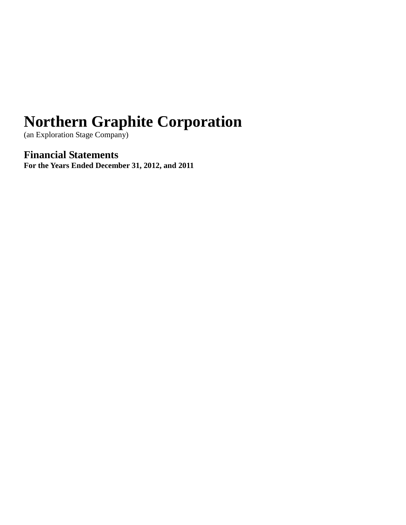# **Northern Graphite Corporation**

(an Exploration Stage Company)

**Financial Statements For the Years Ended December 31, 2012, and 2011**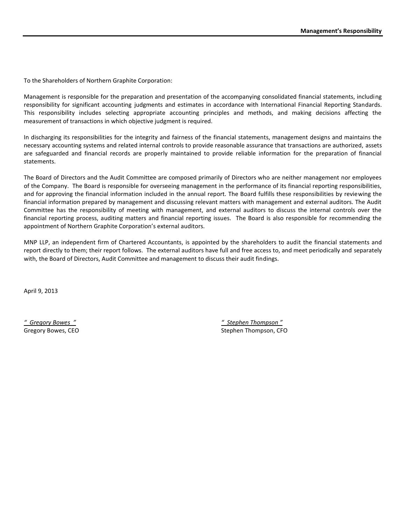To the Shareholders of Northern Graphite Corporation:

Management is responsible for the preparation and presentation of the accompanying consolidated financial statements, including responsibility for significant accounting judgments and estimates in accordance with International Financial Reporting Standards. This responsibility includes selecting appropriate accounting principles and methods, and making decisions affecting the measurement of transactions in which objective judgment is required.

In discharging its responsibilities for the integrity and fairness of the financial statements, management designs and maintains the necessary accounting systems and related internal controls to provide reasonable assurance that transactions are authorized, assets are safeguarded and financial records are properly maintained to provide reliable information for the preparation of financial statements.

The Board of Directors and the Audit Committee are composed primarily of Directors who are neither management nor employees of the Company. The Board is responsible for overseeing management in the performance of its financial reporting responsibilities, and for approving the financial information included in the annual report. The Board fulfills these responsibilities by reviewing the financial information prepared by management and discussing relevant matters with management and external auditors. The Audit Committee has the responsibility of meeting with management, and external auditors to discuss the internal controls over the financial reporting process, auditing matters and financial reporting issues. The Board is also responsible for recommending the appointment of Northern Graphite Corporation's external auditors.

MNP LLP, an independent firm of Chartered Accountants, is appointed by the shareholders to audit the financial statements and report directly to them; their report follows. The external auditors have full and free access to, and meet periodically and separately with, the Board of Directors, Audit Committee and management to discuss their audit findings.

April 9, 2013

*" Gregory Bowes " " Stephen Thompson "* Gregory Bowes, CEO Stephen Thompson, CFO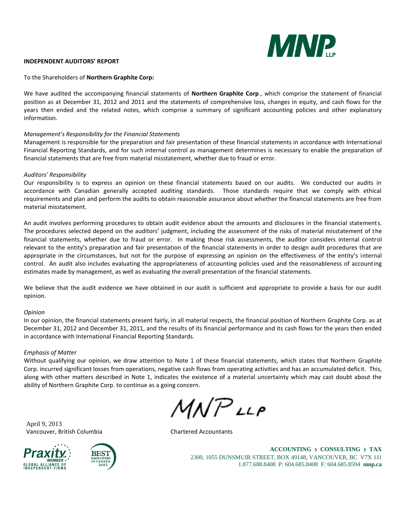

### **INDEPENDENT AUDITORS' REPORT**

To the Shareholders of **Northern Graphite Corp:**

We have audited the accompanying financial statements of **Northern Graphite Corp**., which comprise the statement of financial position as at December 31, 2012 and 2011 and the statements of comprehensive loss, changes in equity, and cash flows for the years then ended and the related notes, which comprise a summary of significant accounting policies and other explanatory information.

### *Management's Responsibility for the Financial Statements*

Management is responsible for the preparation and fair presentation of these financial statements in accordance with International Financial Reporting Standards, and for such internal control as management determines is necessary to enable the preparation of financial statements that are free from material misstatement, whether due to fraud or error.

### *Auditors' Responsibility*

Our responsibility is to express an opinion on these financial statements based on our audits. We conducted our audits in accordance with Canadian generally accepted auditing standards. Those standards require that we comply with ethical requirements and plan and perform the audits to obtain reasonable assurance about whether the financial statements are free from material misstatement.

An audit involves performing procedures to obtain audit evidence about the amounts and disclosures in the financial statements. The procedures selected depend on the auditors' judgment, including the assessment of the risks of material misstatement of the financial statements, whether due to fraud or error. In making those risk assessments, the auditor considers internal control relevant to the entity's preparation and fair presentation of the financial statements in order to design audit procedures that are appropriate in the circumstances, but not for the purpose of expressing an opinion on the effectiveness of the entity's internal control. An audit also includes evaluating the appropriateness of accounting policies used and the reasonableness of accounting estimates made by management, as well as evaluating the overall presentation of the financial statements.

We believe that the audit evidence we have obtained in our audit is sufficient and appropriate to provide a basis for our audit opinion.

### *Opinion*

In our opinion, the financial statements present fairly, in all material respects, the financial position of Northern Graphite Corp. as at December 31, 2012 and December 31, 2011, and the results of its financial performance and its cash flows for the years then ended in accordance with International Financial Reporting Standards.

### *Emphasis of Matter*

Without qualifying our opinion, we draw attention to Note 1 of these financial statements, which states that Northern Graphite Corp. incurred significant losses from operations, negative cash flows from operating activities and has an accumulated deficit. This, along with other matters described in Note 1, indicates the existence of a material uncertainty which may cast doubt about the ability of Northern Graphite Corp. to continue as a going concern.

 $\mathcal{NP}_{\mathcal{LLP}}$ 

April 9, 2013 Vancouver, British Columbia Chartered Accountants





**ACCOUNTING › CONSULTING › TAX**

2300, 1055 DUNSMUIR STREET, BOX 49148, VANCOUVER, BC V7X 1J1 1.877.688.8408 P: 604.685.8408 F: 604.685.8594 **mnp.ca**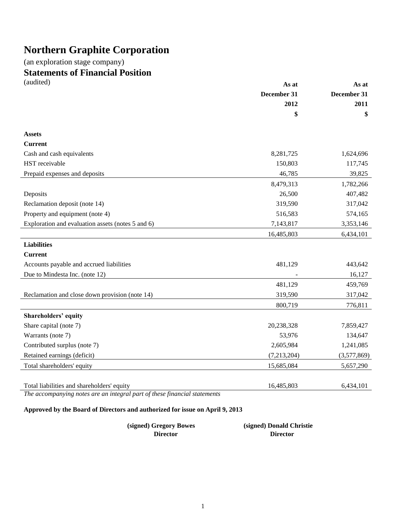# **Northern Graphite Corporation**

(an exploration stage company)

# **Statements of Financial Position** (audited)

| (audited)                                         | As at       | As at       |
|---------------------------------------------------|-------------|-------------|
|                                                   | December 31 | December 31 |
|                                                   | 2012        | 2011        |
|                                                   | \$          | \$          |
|                                                   |             |             |
| <b>Assets</b>                                     |             |             |
| <b>Current</b>                                    |             |             |
| Cash and cash equivalents                         | 8,281,725   | 1,624,696   |
| HST receivable                                    | 150,803     | 117,745     |
| Prepaid expenses and deposits                     | 46,785      | 39,825      |
|                                                   | 8,479,313   | 1,782,266   |
| Deposits                                          | 26,500      | 407,482     |
| Reclamation deposit (note 14)                     | 319,590     | 317,042     |
| Property and equipment (note 4)                   | 516,583     | 574,165     |
| Exploration and evaluation assets (notes 5 and 6) | 7,143,817   | 3,353,146   |
|                                                   | 16,485,803  | 6,434,101   |
| <b>Liabilities</b>                                |             |             |
| <b>Current</b>                                    |             |             |
| Accounts payable and accrued liabilities          | 481,129     | 443,642     |
| Due to Mindesta Inc. (note 12)                    |             | 16,127      |
|                                                   | 481,129     | 459,769     |
| Reclamation and close down provision (note 14)    | 319,590     | 317,042     |
|                                                   | 800,719     | 776,811     |
| <b>Shareholders' equity</b>                       |             |             |
| Share capital (note 7)                            | 20,238,328  | 7,859,427   |
| Warrants (note 7)                                 | 53,976      | 134,647     |
| Contributed surplus (note 7)                      | 2,605,984   | 1,241,085   |
| Retained earnings (deficit)                       | (7,213,204) | (3,577,869) |
| Total shareholders' equity                        | 15,685,084  | 5,657,290   |
|                                                   |             |             |
| Total liabilities and shareholders' equity        | 16,485,803  | 6,434,101   |

*The accompanying notes are an integral part of these financial statements* 

### **Approved by the Board of Directors and authorized for issue on April 9, 2013**

| (signed) Gregory Bowes | (signed) Donald Christie |
|------------------------|--------------------------|
| <b>Director</b>        | <b>Director</b>          |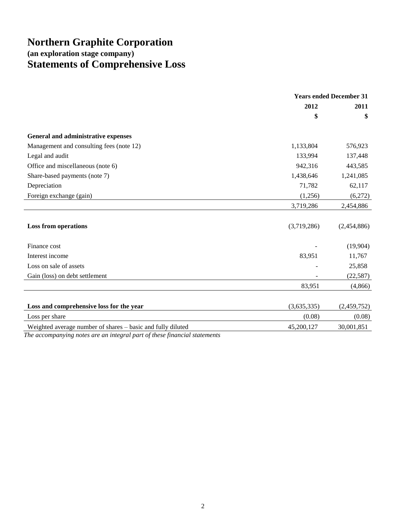# **Northern Graphite Corporation (an exploration stage company) Statements of Comprehensive Loss**

|                                                                                                                              |             | <b>Years ended December 31</b> |  |
|------------------------------------------------------------------------------------------------------------------------------|-------------|--------------------------------|--|
|                                                                                                                              | 2012        | 2011                           |  |
|                                                                                                                              | \$          | \$                             |  |
| General and administrative expenses                                                                                          |             |                                |  |
| Management and consulting fees (note 12)                                                                                     | 1,133,804   | 576,923                        |  |
| Legal and audit                                                                                                              | 133,994     | 137,448                        |  |
| Office and miscellaneous (note 6)                                                                                            | 942,316     | 443,585                        |  |
| Share-based payments (note 7)                                                                                                | 1,438,646   | 1,241,085                      |  |
| Depreciation                                                                                                                 | 71,782      | 62,117                         |  |
| Foreign exchange (gain)                                                                                                      | (1,256)     | (6,272)                        |  |
|                                                                                                                              | 3,719,286   | 2,454,886                      |  |
| Loss from operations                                                                                                         | (3,719,286) | (2,454,886)                    |  |
| Finance cost                                                                                                                 |             | (19,904)                       |  |
| Interest income                                                                                                              | 83,951      | 11,767                         |  |
| Loss on sale of assets                                                                                                       |             | 25,858                         |  |
| Gain (loss) on debt settlement                                                                                               |             | (22, 587)                      |  |
|                                                                                                                              | 83,951      | (4, 866)                       |  |
| Loss and comprehensive loss for the year                                                                                     | (3,635,335) | (2,459,752)                    |  |
| Loss per share                                                                                                               | (0.08)      | (0.08)                         |  |
| Weighted average number of shares – basic and fully diluted<br>$\mathcal{L} = \mathcal{L} \cdot \mathcal{L}$<br>$\mathbf{r}$ | 45,200,127  | 30,001,851                     |  |

*The accompanying notes are an integral part of these financial statements*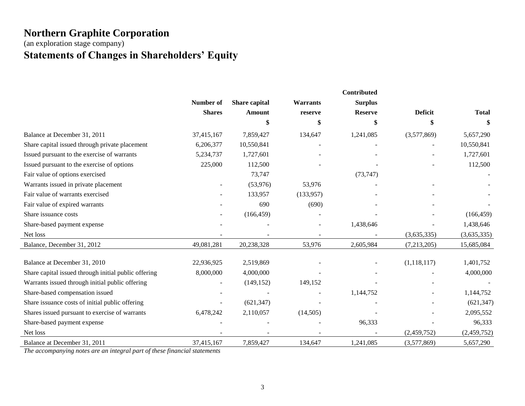## **Northern Graphite Corporation**

(an exploration stage company) **Statements of Changes in Shareholders' Equity**

|                                                      |               |               |                 | Contributed    |                |              |
|------------------------------------------------------|---------------|---------------|-----------------|----------------|----------------|--------------|
|                                                      | Number of     | Share capital | <b>Warrants</b> | <b>Surplus</b> |                |              |
|                                                      | <b>Shares</b> | <b>Amount</b> | reserve         | <b>Reserve</b> | <b>Deficit</b> | <b>Total</b> |
|                                                      |               | \$            | \$              | \$             | \$             | \$           |
| Balance at December 31, 2011                         | 37,415,167    | 7,859,427     | 134,647         | 1,241,085      | (3,577,869)    | 5,657,290    |
| Share capital issued through private placement       | 6,206,377     | 10,550,841    |                 |                |                | 10,550,841   |
| Issued pursuant to the exercise of warrants          | 5,234,737     | 1,727,601     |                 |                |                | 1,727,601    |
| Issued pursuant to the exercise of options           | 225,000       | 112,500       |                 |                |                | 112,500      |
| Fair value of options exercised                      |               | 73,747        |                 | (73, 747)      |                |              |
| Warrants issued in private placement                 |               | (53,976)      | 53,976          |                |                |              |
| Fair value of warrants exercised                     |               | 133,957       | (133,957)       |                |                |              |
| Fair value of expired warrants                       |               | 690           | (690)           |                |                |              |
| Share issuance costs                                 |               | (166, 459)    |                 |                |                | (166, 459)   |
| Share-based payment expense                          |               |               |                 | 1,438,646      |                | 1,438,646    |
| Net loss                                             |               |               |                 |                | (3,635,335)    | (3,635,335)  |
| Balance, December 31, 2012                           | 49,081,281    | 20,238,328    | 53,976          | 2,605,984      | (7,213,205)    | 15,685,084   |
| Balance at December 31, 2010                         | 22,936,925    | 2,519,869     |                 |                | (1, 118, 117)  | 1,401,752    |
| Share capital issued through initial public offering | 8,000,000     | 4,000,000     |                 |                |                | 4,000,000    |
| Warrants issued through initial public offering      |               | (149, 152)    | 149,152         |                |                |              |
| Share-based compensation issued                      |               |               |                 | 1,144,752      |                | 1,144,752    |
| Share issuance costs of initial public offering      |               | (621, 347)    |                 |                |                | (621, 347)   |
| Shares issued pursuant to exercise of warrants       | 6,478,242     | 2,110,057     | (14,505)        |                |                | 2,095,552    |
| Share-based payment expense                          |               |               |                 | 96,333         |                | 96,333       |
| Net loss                                             |               |               |                 |                | (2,459,752)    | (2,459,752)  |
| Balance at December 31, 2011                         | 37,415,167    | 7,859,427     | 134,647         | 1,241,085      | (3,577,869)    | 5,657,290    |

*The accompanying notes are an integral part of these financial statements*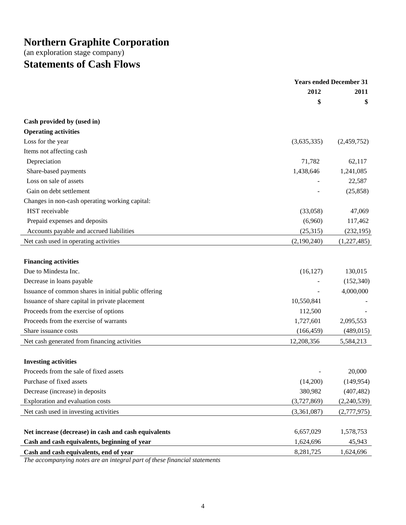## **Northern Graphite Corporation**

(an exploration stage company)

# **Statements of Cash Flows**

|                                                      | <b>Years ended December 31</b> |             |  |
|------------------------------------------------------|--------------------------------|-------------|--|
|                                                      | 2012                           |             |  |
|                                                      | \$                             | \$          |  |
| Cash provided by (used in)                           |                                |             |  |
| <b>Operating activities</b>                          |                                |             |  |
| Loss for the year                                    | (3,635,335)                    | (2,459,752) |  |
| Items not affecting cash                             |                                |             |  |
| Depreciation                                         | 71,782                         | 62,117      |  |
| Share-based payments                                 | 1,438,646                      | 1,241,085   |  |
| Loss on sale of assets                               |                                | 22,587      |  |
| Gain on debt settlement                              |                                | (25, 858)   |  |
| Changes in non-cash operating working capital:       |                                |             |  |
| HST receivable                                       | (33,058)                       | 47,069      |  |
| Prepaid expenses and deposits                        | (6,960)                        | 117,462     |  |
| Accounts payable and accrued liabilities             | (25, 315)                      | (232, 195)  |  |
| Net cash used in operating activities                | (2,190,240)                    | (1,227,485) |  |
| <b>Financing activities</b>                          |                                |             |  |
| Due to Mindesta Inc.                                 | (16, 127)                      | 130,015     |  |
| Decrease in loans payable                            |                                | (152, 340)  |  |
| Issuance of common shares in initial public offering |                                | 4,000,000   |  |
| Issuance of share capital in private placement       | 10,550,841                     |             |  |
| Proceeds from the exercise of options                | 112,500                        |             |  |
| Proceeds from the exercise of warrants               | 1,727,601                      | 2,095,553   |  |
| Share issuance costs                                 | (166, 459)                     | (489, 015)  |  |
| Net cash generated from financing activities         | 12,208,356                     | 5,584,213   |  |
| <b>Investing activities</b>                          |                                |             |  |
| Proceeds from the sale of fixed assets               |                                | 20,000      |  |
| Purchase of fixed assets                             | (14,200)                       | (149, 954)  |  |
| Decrease (increase) in deposits                      | 380,982                        | (407, 482)  |  |
| Exploration and evaluation costs                     | (3,727,869)                    | (2,240,539) |  |
| Net cash used in investing activities                | (3,361,087)                    | (2,777,975) |  |
|                                                      |                                |             |  |
| Net increase (decrease) in cash and cash equivalents | 6,657,029                      | 1,578,753   |  |
| Cash and cash equivalents, beginning of year         | 1,624,696                      | 45,943      |  |
| Cash and cash equivalents, end of year               | 8,281,725                      | 1,624,696   |  |

*The accompanying notes are an integral part of these financial statements*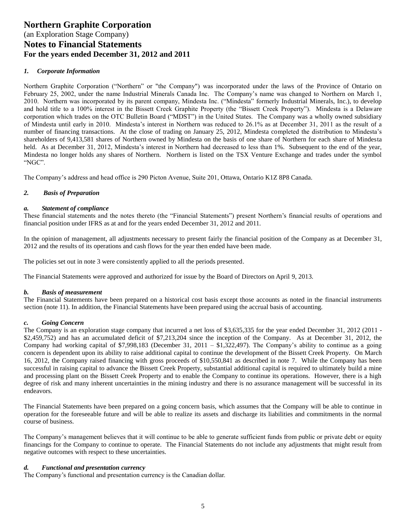### *1. Corporate Information*

Northern Graphite Corporation ("Northern" or "the Company") was incorporated under the laws of the Province of Ontario on February 25, 2002, under the name Industrial Minerals Canada Inc. The Company's name was changed to Northern on March 1, 2010. Northern was incorporated by its parent company, Mindesta Inc. ("Mindesta" formerly Industrial Minerals, Inc.), to develop and hold title to a 100% interest in the Bissett Creek Graphite Property (the "Bissett Creek Property"). Mindesta is a Delaware corporation which trades on the OTC Bulletin Board ("MDST") in the United States. The Company was a wholly owned subsidiary of Mindesta until early in 2010. Mindesta's interest in Northern was reduced to 26.1% as at December 31, 2011 as the result of a number of financing transactions. At the close of trading on January 25, 2012, Mindesta completed the distribution to Mindesta's shareholders of 9,413,581 shares of Northern owned by Mindesta on the basis of one share of Northern for each share of Mindesta held. As at December 31, 2012, Mindesta's interest in Northern had decreased to less than 1%. Subsequent to the end of the year, Mindesta no longer holds any shares of Northern. Northern is listed on the TSX Venture Exchange and trades under the symbol "NGC".

The Company's address and head office is 290 Picton Avenue, Suite 201, Ottawa, Ontario K1Z 8P8 Canada.

### *2. Basis of Preparation*

### *a. Statement of compliance*

These financial statements and the notes thereto (the "Financial Statements") present Northern's financial results of operations and financial position under IFRS as at and for the years ended December 31, 2012 and 2011.

In the opinion of management, all adjustments necessary to present fairly the financial position of the Company as at December 31, 2012 and the results of its operations and cash flows for the year then ended have been made.

The policies set out in note 3 were consistently applied to all the periods presented.

The Financial Statements were approved and authorized for issue by the Board of Directors on April 9, 2013.

### *b. Basis of measurement*

The Financial Statements have been prepared on a historical cost basis except those accounts as noted in the financial instruments section (note 11). In addition, the Financial Statements have been prepared using the accrual basis of accounting.

### *c. Going Concern*

The Company is an exploration stage company that incurred a net loss of \$3,635,335 for the year ended December 31, 2012 (2011 - \$2,459,752) and has an accumulated deficit of \$7,213,204 since the inception of the Company. As at December 31, 2012, the Company had working capital of  $$7,998,183$  (December 31, 2011 –  $$1,322,497$ ). The Company's ability to continue as a going concern is dependent upon its ability to raise additional capital to continue the development of the Bissett Creek Property. On March 16, 2012, the Company raised financing with gross proceeds of \$10,550,841 as described in note 7. While the Company has been successful in raising capital to advance the Bissett Creek Property, substantial additional capital is required to ultimately build a mine and processing plant on the Bissett Creek Property and to enable the Company to continue its operations. However, there is a high degree of risk and many inherent uncertainties in the mining industry and there is no assurance management will be successful in its endeavors.

The Financial Statements have been prepared on a going concern basis, which assumes that the Company will be able to continue in operation for the foreseeable future and will be able to realize its assets and discharge its liabilities and commitments in the normal course of business.

The Company's management believes that it will continue to be able to generate sufficient funds from public or private debt or equity financings for the Company to continue to operate. The Financial Statements do not include any adjustments that might result from negative outcomes with respect to these uncertainties.

### *d. Functional and presentation currency*

The Company's functional and presentation currency is the Canadian dollar.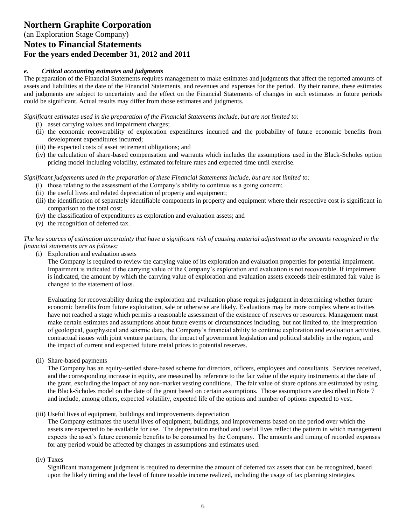### *e. Critical accounting estimates and judgments*

The preparation of the Financial Statements requires management to make estimates and judgments that affect the reported amounts of assets and liabilities at the date of the Financial Statements, and revenues and expenses for the period. By their nature, these estimates and judgments are subject to uncertainty and the effect on the Financial Statements of changes in such estimates in future periods could be significant. Actual results may differ from those estimates and judgments.

*Significant estimates used in the preparation of the Financial Statements include, but are not limited to:* 

- (i) asset carrying values and impairment charges;
- (ii) the economic recoverability of exploration expenditures incurred and the probability of future economic benefits from development expenditures incurred;
- (iii) the expected costs of asset retirement obligations; and
- (iv) the calculation of share-based compensation and warrants which includes the assumptions used in the Black-Scholes option pricing model including volatility, estimated forfeiture rates and expected time until exercise.

*Significant judgements used in the preparation of these Financial Statements include, but are not limited to:* 

- (i) those relating to the assessment of the Company's ability to continue as a going concern;
- (ii) the useful lives and related depreciation of property and equipment;
- (iii) the identification of separately identifiable components in property and equipment where their respective cost is significant in comparison to the total cost;
- (iv) the classification of expenditures as exploration and evaluation assets; and
- (v) the recognition of deferred tax.

*The key sources of estimation uncertainty that have a significant risk of causing material adjustment to the amounts recognized in the financial statements are as follows:* 

(i) Exploration and evaluation assets

The Company is required to review the carrying value of its exploration and evaluation properties for potential impairment. Impairment is indicated if the carrying value of the Company's exploration and evaluation is not recoverable. If impairment is indicated, the amount by which the carrying value of exploration and evaluation assets exceeds their estimated fair value is changed to the statement of loss.

Evaluating for recoverability during the exploration and evaluation phase requires judgment in determining whether future economic benefits from future exploitation, sale or otherwise are likely. Evaluations may be more complex where activities have not reached a stage which permits a reasonable assessment of the existence of reserves or resources. Management must make certain estimates and assumptions about future events or circumstances including, but not limited to, the interpretation of geological, geophysical and seismic data, the Company's financial ability to continue exploration and evaluation activities, contractual issues with joint venture partners, the impact of government legislation and political stability in the region, and the impact of current and expected future metal prices to potential reserves.

(ii) Share-based payments

The Company has an equity-settled share-based scheme for directors, officers, employees and consultants. Services received, and the corresponding increase in equity, are measured by reference to the fair value of the equity instruments at the date of the grant, excluding the impact of any non-market vesting conditions. The fair value of share options are estimated by using the Black-Scholes model on the date of the grant based on certain assumptions. Those assumptions are described in Note 7 and include, among others, expected volatility, expected life of the options and number of options expected to vest.

### (iii) Useful lives of equipment, buildings and improvements depreciation

The Company estimates the useful lives of equipment, buildings, and improvements based on the period over which the assets are expected to be available for use. The depreciation method and useful lives reflect the pattern in which management expects the asset's future economic benefits to be consumed by the Company. The amounts and timing of recorded expenses for any period would be affected by changes in assumptions and estimates used.

### (iv) Taxes

Significant management judgment is required to determine the amount of deferred tax assets that can be recognized, based upon the likely timing and the level of future taxable income realized, including the usage of tax planning strategies.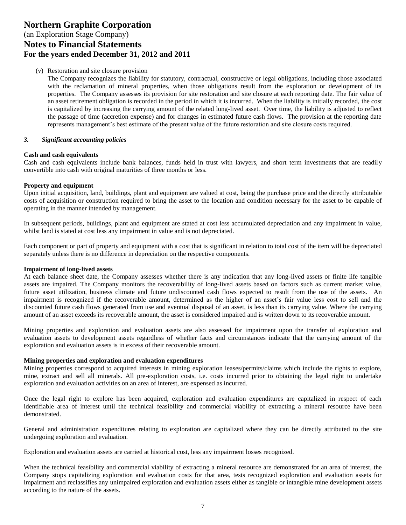### (v) Restoration and site closure provision

The Company recognizes the liability for statutory, contractual, constructive or legal obligations, including those associated with the reclamation of mineral properties, when those obligations result from the exploration or development of its properties. The Company assesses its provision for site restoration and site closure at each reporting date. The fair value of an asset retirement obligation is recorded in the period in which it is incurred. When the liability is initially recorded, the cost is capitalized by increasing the carrying amount of the related long-lived asset. Over time, the liability is adjusted to reflect the passage of time (accretion expense) and for changes in estimated future cash flows. The provision at the reporting date represents management's best estimate of the present value of the future restoration and site closure costs required.

### *3. Significant accounting policies*

### **Cash and cash equivalents**

Cash and cash equivalents include bank balances, funds held in trust with lawyers, and short term investments that are readily convertible into cash with original maturities of three months or less.

### **Property and equipment**

Upon initial acquisition, land, buildings, plant and equipment are valued at cost, being the purchase price and the directly attributable costs of acquisition or construction required to bring the asset to the location and condition necessary for the asset to be capable of operating in the manner intended by management.

In subsequent periods, buildings, plant and equipment are stated at cost less accumulated depreciation and any impairment in value, whilst land is stated at cost less any impairment in value and is not depreciated.

Each component or part of property and equipment with a cost that is significant in relation to total cost of the item will be depreciated separately unless there is no difference in depreciation on the respective components.

### **Impairment of long-lived assets**

At each balance sheet date, the Company assesses whether there is any indication that any long-lived assets or finite life tangible assets are impaired. The Company monitors the recoverability of long-lived assets based on factors such as current market value, future asset utilization, business climate and future undiscounted cash flows expected to result from the use of the assets. An impairment is recognized if the recoverable amount, determined as the higher of an asset's fair value less cost to sell and the discounted future cash flows generated from use and eventual disposal of an asset, is less than its carrying value. Where the carrying amount of an asset exceeds its recoverable amount, the asset is considered impaired and is written down to its recoverable amount.

Mining properties and exploration and evaluation assets are also assessed for impairment upon the transfer of exploration and evaluation assets to development assets regardless of whether facts and circumstances indicate that the carrying amount of the exploration and evaluation assets is in excess of their recoverable amount.

### **Mining properties and exploration and evaluation expenditures**

Mining properties correspond to acquired interests in mining exploration leases/permits/claims which include the rights to explore, mine, extract and sell all minerals. All pre-exploration costs, i.e. costs incurred prior to obtaining the legal right to undertake exploration and evaluation activities on an area of interest, are expensed as incurred.

Once the legal right to explore has been acquired, exploration and evaluation expenditures are capitalized in respect of each identifiable area of interest until the technical feasibility and commercial viability of extracting a mineral resource have been demonstrated.

General and administration expenditures relating to exploration are capitalized where they can be directly attributed to the site undergoing exploration and evaluation.

Exploration and evaluation assets are carried at historical cost, less any impairment losses recognized.

When the technical feasibility and commercial viability of extracting a mineral resource are demonstrated for an area of interest, the Company stops capitalizing exploration and evaluation costs for that area, tests recognized exploration and evaluation assets for impairment and reclassifies any unimpaired exploration and evaluation assets either as tangible or intangible mine development assets according to the nature of the assets.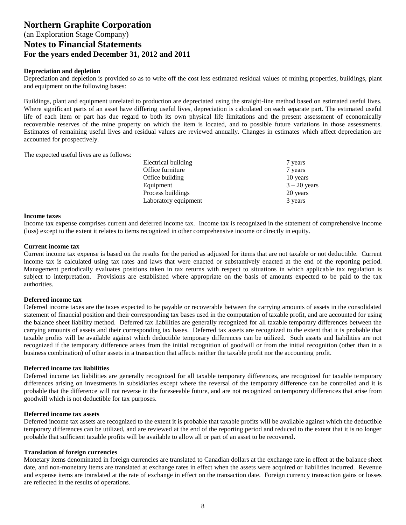### **Depreciation and depletion**

Depreciation and depletion is provided so as to write off the cost less estimated residual values of mining properties, buildings, plant and equipment on the following bases:

Buildings, plant and equipment unrelated to production are depreciated using the straight-line method based on estimated useful lives. Where significant parts of an asset have differing useful lives, depreciation is calculated on each separate part. The estimated useful life of each item or part has due regard to both its own physical life limitations and the present assessment of economically recoverable reserves of the mine property on which the item is located, and to possible future variations in those assessments. Estimates of remaining useful lives and residual values are reviewed annually. Changes in estimates which affect depreciation are accounted for prospectively.

The expected useful lives are as follows:

| Electrical building  | 7 years        |
|----------------------|----------------|
| Office furniture     | 7 years        |
| Office building      | 10 years       |
| Equipment            | $3 - 20$ years |
| Process buildings    | 20 years       |
| Laboratory equipment | 3 years        |

#### **Income taxes**

Income tax expense comprises current and deferred income tax. Income tax is recognized in the statement of comprehensive income (loss) except to the extent it relates to items recognized in other comprehensive income or directly in equity.

### **Current income tax**

Current income tax expense is based on the results for the period as adjusted for items that are not taxable or not deductible. Current income tax is calculated using tax rates and laws that were enacted or substantively enacted at the end of the reporting period. Management periodically evaluates positions taken in tax returns with respect to situations in which applicable tax regulation is subject to interpretation. Provisions are established where appropriate on the basis of amounts expected to be paid to the tax authorities.

### **Deferred income tax**

Deferred income taxes are the taxes expected to be payable or recoverable between the carrying amounts of assets in the consolidated statement of financial position and their corresponding tax bases used in the computation of taxable profit, and are accounted for using the balance sheet liability method. Deferred tax liabilities are generally recognized for all taxable temporary differences between the carrying amounts of assets and their corresponding tax bases. Deferred tax assets are recognized to the extent that it is probable that taxable profits will be available against which deductible temporary differences can be utilized. Such assets and liabilities are not recognized if the temporary difference arises from the initial recognition of goodwill or from the initial recognition (other than in a business combination) of other assets in a transaction that affects neither the taxable profit nor the accounting profit.

### **Deferred income tax liabilities**

Deferred income tax liabilities are generally recognized for all taxable temporary differences, are recognized for taxable temporary differences arising on investments in subsidiaries except where the reversal of the temporary difference can be controlled and it is probable that the difference will not reverse in the foreseeable future, and are not recognized on temporary differences that arise from goodwill which is not deductible for tax purposes.

### **Deferred income tax assets**

Deferred income tax assets are recognized to the extent it is probable that taxable profits will be available against which the deductible temporary differences can be utilized, and are reviewed at the end of the reporting period and reduced to the extent that it is no longer probable that sufficient taxable profits will be available to allow all or part of an asset to be recovered**.**

### **Translation of foreign currencies**

Monetary items denominated in foreign currencies are translated to Canadian dollars at the exchange rate in effect at the balance sheet date, and non-monetary items are translated at exchange rates in effect when the assets were acquired or liabilities incurred. Revenue and expense items are translated at the rate of exchange in effect on the transaction date. Foreign currency transaction gains or losses are reflected in the results of operations.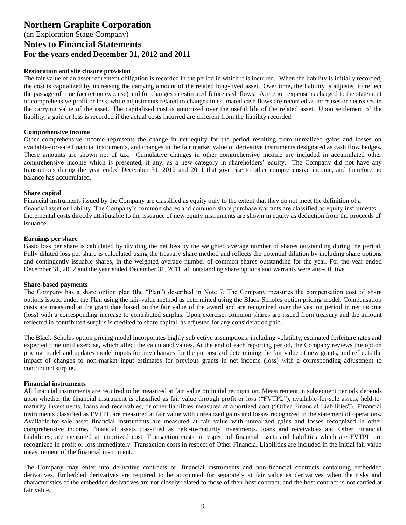### **Restoration and site closure provision**

The fair value of an asset retirement obligation is recorded in the period in which it is incurred. When the liability is initially recorded, the cost is capitalized by increasing the carrying amount of the related long-lived asset. Over time, the liability is adjusted to reflect the passage of time (accretion expense) and for changes in estimated future cash flows. Accretion expense is charged to the statement of comprehensive profit or loss, while adjustments related to changes in estimated cash flows are recorded as increases or decreases in the carrying value of the asset. The capitalized cost is amortized over the useful life of the related asset. Upon settlement of the liability, a gain or loss is recorded if the actual costs incurred are different from the liability recorded.

### **Comprehensive income**

Other comprehensive income represents the change in net equity for the period resulting from unrealized gains and losses on available-for-sale financial instruments, and changes in the fair market value of derivative instruments designated as cash flow hedges. These amounts are shown net of tax. Cumulative changes in other comprehensive income are included in accumulated other comprehensive income which is presented, if any, as a new category in shareholders' equity. The Company did not have any transactions during the year ended December 31, 2012 and 2011 that give rise to other comprehensive income, and therefore no balance has accumulated.

#### **Share capital**

Financial instruments issued by the Company are classified as equity only to the extent that they do not meet the definition of a financial asset or liability. The Company's common shares and common share purchase warrants are classified as equity instruments. Incremental costs directly attributable to the issuance of new equity instruments are shown in equity as deduction from the proceeds of issuance.

#### **Earnings per share**

Basic loss per share is calculated by dividing the net loss by the weighted average number of shares outstanding during the period. Fully diluted loss per share is calculated using the treasury share method and reflects the potential dilution by including share options and contingently issuable shares, in the weighted average number of common shares outstanding for the year. For the year ended December 31, 2012 and the year ended December 31, 2011, all outstanding share options and warrants were anti-dilutive.

### **Share-based payments**

The Company has a share option plan (the "Plan") described in Note 7. The Company measures the compensation cost of share options issued under the Plan using the fair-value method as determined using the Black-Scholes option pricing model. Compensation costs are measured at the grant date based on the fair value of the award and are recognized over the vesting period in net income (loss) with a corresponding increase to contributed surplus. Upon exercise, common shares are issued from treasury and the amount reflected in contributed surplus is credited to share capital, as adjusted for any consideration paid.

The Black-Scholes option pricing model incorporates highly subjective assumptions, including volatility, estimated forfeiture rates and expected time until exercise, which affect the calculated values. At the end of each reporting period, the Company reviews the option pricing model and updates model inputs for any changes for the purposes of determining the fair value of new grants, and reflects the impact of changes to non-market input estimates for previous grants in net income (loss) with a corresponding adjustment to contributed surplus.

### **Financial instruments**

All financial instruments are required to be measured at fair value on initial recognition. Measurement in subsequent periods depends upon whether the financial instrument is classified as fair value through profit or loss ("FVTPL"), available-for-sale assets, held-tomaturity investments, loans and receivables, or other liabilities measured at amortized cost ("Other Financial Liabilities"). Financial instruments classified as FVTPL are measured at fair value with unrealized gains and losses recognized in the statement of operations. Available-for-sale asset financial instruments are measured at fair value with unrealized gains and losses recognized in other comprehensive income. Financial assets classified as held-to-maturity investments, loans and receivables and Other Financial Liabilities, are measured at amortized cost. Transaction costs in respect of financial assets and liabilities which are FVTPL are recognized in profit or loss immediately. Transaction costs in respect of Other Financial Liabilities are included in the initial fair value measurement of the financial instrument.

The Company may enter into derivative contracts or, financial instruments and non-financial contracts containing embedded derivatives. Embedded derivatives are required to be accounted for separately at fair value as derivatives when the risks and characteristics of the embedded derivatives are not closely related to those of their host contract, and the host contract is not carried at fair value.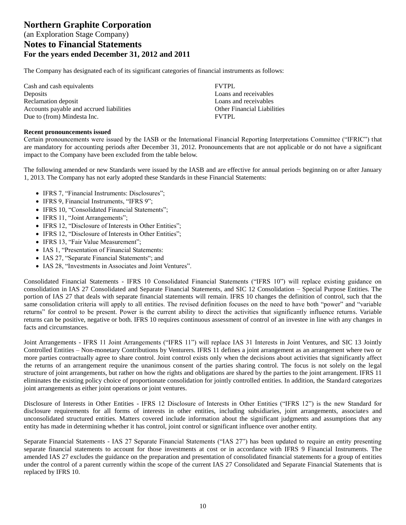The Company has designated each of its significant categories of financial instruments as follows:

| Cash and cash equivalents                | <b>FVTPL</b>                       |
|------------------------------------------|------------------------------------|
| Deposits                                 | Loans and receivables              |
| Reclamation deposit                      | Loans and receivables              |
| Accounts payable and accrued liabilities | <b>Other Financial Liabilities</b> |
| Due to (from) Mindesta Inc.              | <b>FVTPL</b>                       |

### **Recent pronouncements issued**

Certain pronouncements were issued by the IASB or the International Financial Reporting Interpretations Committee ("IFRIC") that are mandatory for accounting periods after December 31, 2012. Pronouncements that are not applicable or do not have a significant impact to the Company have been excluded from the table below.

The following amended or new Standards were issued by the IASB and are effective for annual periods beginning on or after January 1, 2013. The Company has not early adopted these Standards in these Financial Statements:

- IFRS 7, "Financial Instruments: Disclosures";
- IFRS 9, Financial Instruments, "IFRS 9";
- IFRS 10, "Consolidated Financial Statements";
- IFRS 11, "Joint Arrangements";
- IFRS 12, "Disclosure of Interests in Other Entities";
- IFRS 12, "Disclosure of Interests in Other Entities";
- IFRS 13, "Fair Value Measurement";
- IAS 1, "Presentation of Financial Statements:
- IAS 27, "Separate Financial Statements"; and
- IAS 28, "Investments in Associates and Joint Ventures".

Consolidated Financial Statements - IFRS 10 Consolidated Financial Statements ("IFRS 10") will replace existing guidance on consolidation in IAS 27 Consolidated and Separate Financial Statements, and SIC 12 Consolidation – Special Purpose Entities. The portion of IAS 27 that deals with separate financial statements will remain. IFRS 10 changes the definition of control, such that the same consolidation criteria will apply to all entities. The revised definition focuses on the need to have both "power" and "variable returns" for control to be present. Power is the current ability to direct the activities that significantly influence returns. Variable returns can be positive, negative or both. IFRS 10 requires continuous assessment of control of an investee in line with any changes in facts and circumstances.

Joint Arrangements - IFRS 11 Joint Arrangements ("IFRS 11") will replace IAS 31 Interests in Joint Ventures, and SIC 13 Jointly Controlled Entities – Non-monetary Contributions by Venturers. IFRS 11 defines a joint arrangement as an arrangement where two or more parties contractually agree to share control. Joint control exists only when the decisions about activities that significantly affect the returns of an arrangement require the unanimous consent of the parties sharing control. The focus is not solely on the legal structure of joint arrangements, but rather on how the rights and obligations are shared by the parties to the joint arrangement. IFRS 11 eliminates the existing policy choice of proportionate consolidation for jointly controlled entities. In addition, the Standard categorizes joint arrangements as either joint operations or joint ventures.

Disclosure of Interests in Other Entities - IFRS 12 Disclosure of Interests in Other Entities ("IFRS 12") is the new Standard for disclosure requirements for all forms of interests in other entities, including subsidiaries, joint arrangements, associates and unconsolidated structured entities. Matters covered include information about the significant judgments and assumptions that any entity has made in determining whether it has control, joint control or significant influence over another entity.

Separate Financial Statements - IAS 27 Separate Financial Statements ("IAS 27") has been updated to require an entity presenting separate financial statements to account for those investments at cost or in accordance with IFRS 9 Financial Instruments. The amended IAS 27 excludes the guidance on the preparation and presentation of consolidated financial statements for a group of entities under the control of a parent currently within the scope of the current IAS 27 Consolidated and Separate Financial Statements that is replaced by IFRS 10.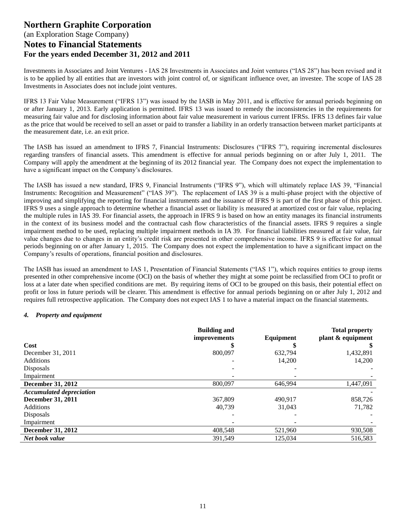Investments in Associates and Joint Ventures - IAS 28 Investments in Associates and Joint ventures ("IAS 28") has been revised and it is to be applied by all entities that are investors with joint control of, or significant influence over, an investee. The scope of IAS 28 Investments in Associates does not include joint ventures.

IFRS 13 Fair Value Measurement ("IFRS 13") was issued by the IASB in May 2011, and is effective for annual periods beginning on or after January 1, 2013. Early application is permitted. IFRS 13 was issued to remedy the inconsistencies in the requirements for measuring fair value and for disclosing information about fair value measurement in various current IFRSs. IFRS 13 defines fair value as the price that would be received to sell an asset or paid to transfer a liability in an orderly transaction between market participants at the measurement date, i.e. an exit price.

The IASB has issued an amendment to IFRS 7, Financial Instruments: Disclosures ("IFRS 7"), requiring incremental disclosures regarding transfers of financial assets. This amendment is effective for annual periods beginning on or after July 1, 2011. The Company will apply the amendment at the beginning of its 2012 financial year. The Company does not expect the implementation to have a significant impact on the Company's disclosures.

The IASB has issued a new standard, IFRS 9, Financial Instruments ("IFRS 9"), which will ultimately replace IAS 39, "Financial Instruments: Recognition and Measurement" ("IAS 39"). The replacement of IAS 39 is a multi-phase project with the objective of improving and simplifying the reporting for financial instruments and the issuance of IFRS 9 is part of the first phase of this project. IFRS 9 uses a single approach to determine whether a financial asset or liability is measured at amortized cost or fair value, replacing the multiple rules in IAS 39. For financial assets, the approach in IFRS 9 is based on how an entity manages its financial instruments in the context of its business model and the contractual cash flow characteristics of the financial assets. IFRS 9 requires a single impairment method to be used, replacing multiple impairment methods in IA 39. For financial liabilities measured at fair value, fair value changes due to changes in an entity's credit risk are presented in other comprehensive income. IFRS 9 is effective for annual periods beginning on or after January 1, 2015. The Company does not expect the implementation to have a significant impact on the Company's results of operations, financial position and disclosures.

The IASB has issued an amendment to IAS 1, Presentation of Financial Statements ("IAS 1"), which requires entities to group items presented in other comprehensive income (OCI) on the basis of whether they might at some point be reclassified from OCI to profit or loss at a later date when specified conditions are met. By requiring items of OCI to be grouped on this basis, their potential effect on profit or loss in future periods will be clearer. This amendment is effective for annual periods beginning on or after July 1, 2012 and requires full retrospective application. The Company does not expect IAS 1 to have a material impact on the financial statements.

### *4. Property and equipment*

|                                 | <b>Building and</b><br>improvements | Equipment | <b>Total property</b><br>plant & equipment |
|---------------------------------|-------------------------------------|-----------|--------------------------------------------|
| Cost                            |                                     |           |                                            |
| December 31, 2011               | 800,097                             | 632,794   | 1,432,891                                  |
| Additions                       |                                     | 14,200    | 14,200                                     |
| <b>Disposals</b>                |                                     |           |                                            |
| Impairment                      |                                     |           |                                            |
| <b>December 31, 2012</b>        | 800,097                             | 646,994   | 1,447,091                                  |
| <b>Accumulated depreciation</b> |                                     |           |                                            |
| <b>December 31, 2011</b>        | 367,809                             | 490,917   | 858,726                                    |
| <b>Additions</b>                | 40.739                              | 31,043    | 71,782                                     |
| Disposals                       |                                     |           |                                            |
| Impairment                      |                                     |           |                                            |
| <b>December 31, 2012</b>        | 408,548                             | 521,960   | 930,508                                    |
| Net book value                  | 391,549                             | 125,034   | 516,583                                    |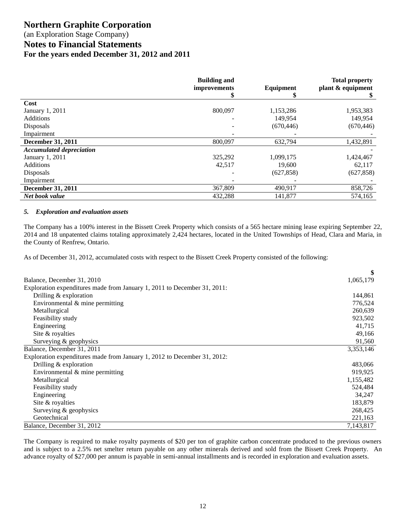|                                 | <b>Building and</b><br>improvements | <b>Equipment</b> | <b>Total property</b><br>plant & equipment |
|---------------------------------|-------------------------------------|------------------|--------------------------------------------|
| Cost                            |                                     |                  |                                            |
| January 1, 2011                 | 800,097                             | 1,153,286        | 1,953,383                                  |
| <b>Additions</b>                |                                     | 149,954          | 149,954                                    |
| Disposals                       |                                     | (670, 446)       | (670, 446)                                 |
| Impairment                      |                                     |                  |                                            |
| <b>December 31, 2011</b>        | 800,097                             | 632,794          | 1,432,891                                  |
| <b>Accumulated depreciation</b> |                                     |                  |                                            |
| January 1, 2011                 | 325,292                             | 1,099,175        | 1,424,467                                  |
| <b>Additions</b>                | 42,517                              | 19,600           | 62,117                                     |
| Disposals                       |                                     | (627, 858)       | (627, 858)                                 |
| Impairment                      |                                     |                  |                                            |
| December 31, 2011               | 367,809                             | 490,917          | 858,726                                    |
| Net book value                  | 432,288                             | 141,877          | 574,165                                    |

### *5. Exploration and evaluation assets*

The Company has a 100% interest in the Bissett Creek Property which consists of a 565 hectare mining lease expiring September 22, 2014 and 18 unpatented claims totaling approximately 2,424 hectares, located in the United Townships of Head, Clara and Maria, in the County of Renfrew, Ontario.

As of December 31, 2012, accumulated costs with respect to the Bissett Creek Property consisted of the following:

|                                                                          | \$        |
|--------------------------------------------------------------------------|-----------|
| Balance, December 31, 2010                                               | 1,065,179 |
| Exploration expenditures made from January 1, 2011 to December 31, 2011: |           |
| Drilling $&$ exploration                                                 | 144,861   |
| Environmental & mine permitting                                          | 776,524   |
| Metallurgical                                                            | 260,639   |
| Feasibility study                                                        | 923,502   |
| Engineering                                                              | 41,715    |
| Site & royalties                                                         | 49,166    |
| Surveying & geophysics                                                   | 91,560    |
| Balance, December 31, 2011                                               | 3,353,146 |
| Exploration expenditures made from January 1, 2012 to December 31, 2012: |           |
| Drilling & exploration                                                   | 483,066   |
| Environmental & mine permitting                                          | 919,925   |
| Metallurgical                                                            | 1,155,482 |
| Feasibility study                                                        | 524,484   |
| Engineering                                                              | 34,247    |
| Site & royalties                                                         | 183,879   |
| Surveying & geophysics                                                   | 268,425   |
| Geotechnical                                                             | 221,163   |
| Balance, December 31, 2012                                               | 7,143,817 |

The Company is required to make royalty payments of \$20 per ton of graphite carbon concentrate produced to the previous owners and is subject to a 2.5% net smelter return payable on any other minerals derived and sold from the Bissett Creek Property. An advance royalty of \$27,000 per annum is payable in semi-annual installments and is recorded in exploration and evaluation assets.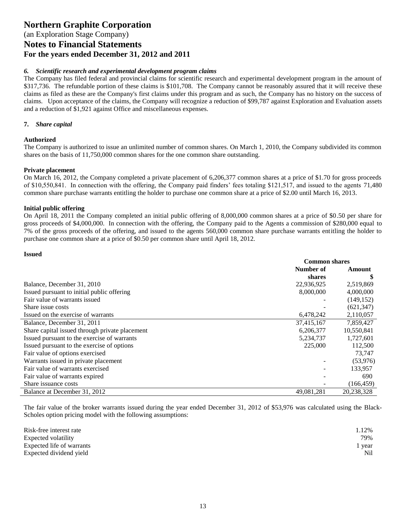### *6. Scientific research and experimental development program claims*

The Company has filed federal and provincial claims for scientific research and experimental development program in the amount of \$317,736. The refundable portion of these claims is \$101,708. The Company cannot be reasonably assured that it will receive these claims as filed as these are the Company's first claims under this program and as such, the Company has no history on the success of claims. Upon acceptance of the claims, the Company will recognize a reduction of \$99,787 against Exploration and Evaluation assets and a reduction of \$1,921 against Office and miscellaneous expenses.

### **7.** *Share capital*

### **Authorized**

The Company is authorized to issue an unlimited number of common shares. On March 1, 2010, the Company subdivided its common shares on the basis of 11,750,000 common shares for the one common share outstanding.

#### **Private placement**

On March 16, 2012, the Company completed a private placement of 6,206,377 common shares at a price of \$1.70 for gross proceeds of \$10,550,841. In connection with the offering, the Company paid finders' fees totaling \$121,517, and issued to the agents 71,480 common share purchase warrants entitling the holder to purchase one common share at a price of \$2.00 until March 16, 2013.

### **Initial public offering**

On April 18, 2011 the Company completed an initial public offering of 8,000,000 common shares at a price of \$0.50 per share for gross proceeds of \$4,000,000. In connection with the offering, the Company paid to the Agents a commission of \$280,000 equal to 7% of the gross proceeds of the offering, and issued to the agents 560,000 common share purchase warrants entitling the holder to purchase one common share at a price of \$0.50 per common share until April 18, 2012.

### **Issued**

|                                                | <b>Common shares</b> |            |
|------------------------------------------------|----------------------|------------|
|                                                | Number of            | Amount     |
|                                                | shares               |            |
| Balance, December 31, 2010                     | 22,936,925           | 2,519,869  |
| Issued pursuant to initial public offering     | 8,000,000            | 4,000,000  |
| Fair value of warrants issued                  |                      | (149, 152) |
| Share issue costs                              |                      | (621, 347) |
| Issued on the exercise of warrants             | 6,478,242            | 2,110,057  |
| Balance, December 31, 2011                     | 37,415,167           | 7,859,427  |
| Share capital issued through private placement | 6,206,377            | 10,550,841 |
| Issued pursuant to the exercise of warrants    | 5,234,737            | 1,727,601  |
| Issued pursuant to the exercise of options     | 225,000              | 112,500    |
| Fair value of options exercised                |                      | 73,747     |
| Warrants issued in private placement           |                      | (53, 976)  |
| Fair value of warrants exercised               |                      | 133,957    |
| Fair value of warrants expired                 |                      | 690        |
| Share issuance costs                           |                      | (166, 459) |
| Balance at December 31, 2012                   | 49,081,281           | 20,238,328 |

The fair value of the broker warrants issued during the year ended December 31, 2012 of \$53,976 was calculated using the Black-Scholes option pricing model with the following assumptions:

| Risk-free interest rate   | 1.12% |
|---------------------------|-------|
| Expected volatility       | 79%   |
| Expected life of warrants | vear  |
| Expected dividend yield   | Nil   |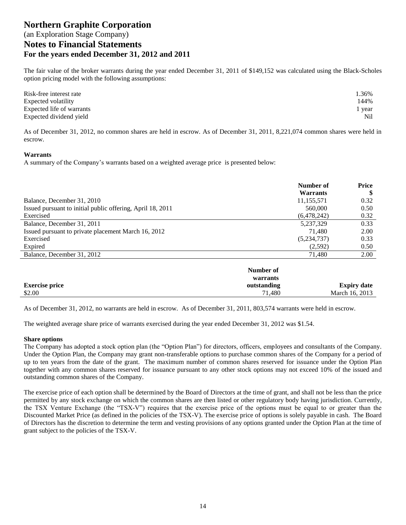The fair value of the broker warrants during the year ended December 31, 2011 of \$149,152 was calculated using the Black-Scholes option pricing model with the following assumptions:

| Risk-free interest rate   | .36% |
|---------------------------|------|
| Expected volatility       | 144% |
| Expected life of warrants | year |
| Expected dividend yield   | Nil  |

As of December 31, 2012, no common shares are held in escrow. As of December 31, 2011, 8,221,074 common shares were held in escrow.

### **Warrants**

A summary of the Company's warrants based on a weighted average price is presented below:

|                                                            | Number of<br><b>Warrants</b> | <b>Price</b> |
|------------------------------------------------------------|------------------------------|--------------|
| Balance, December 31, 2010                                 | 11,155,571                   | 0.32         |
| Issued pursuant to initial public offering, April 18, 2011 | 560,000                      | 0.50         |
| Exercised                                                  | (6,478,242)                  | 0.32         |
| Balance, December 31, 2011                                 | 5,237,329                    | 0.33         |
| Issued pursuant to private placement March 16, 2012        | 71.480                       | 2.00         |
| Exercised                                                  | (5,234,737)                  | 0.33         |
| Expired                                                    | (2,592)                      | 0.50         |
| Balance, December 31, 2012                                 | 71.480                       | 2.00         |

|                       | Number of   |                    |
|-----------------------|-------------|--------------------|
|                       | warrants    |                    |
| <b>Exercise price</b> | outstanding | <b>Expiry date</b> |
| \$2.00                | 71.480      | March 16, 2013     |

As of December 31, 2012, no warrants are held in escrow. As of December 31, 2011, 803,574 warrants were held in escrow.

The weighted average share price of warrants exercised during the year ended December 31, 2012 was \$1.54.

### **Share options**

The Company has adopted a stock option plan (the "Option Plan") for directors, officers, employees and consultants of the Company. Under the Option Plan, the Company may grant non-transferable options to purchase common shares of the Company for a period of up to ten years from the date of the grant. The maximum number of common shares reserved for issuance under the Option Plan together with any common shares reserved for issuance pursuant to any other stock options may not exceed 10% of the issued and outstanding common shares of the Company.

The exercise price of each option shall be determined by the Board of Directors at the time of grant, and shall not be less than the price permitted by any stock exchange on which the common shares are then listed or other regulatory body having jurisdiction. Currently, the TSX Venture Exchange (the "TSX-V") requires that the exercise price of the options must be equal to or greater than the Discounted Market Price (as defined in the policies of the TSX-V). The exercise price of options is solely payable in cash. The Board of Directors has the discretion to determine the term and vesting provisions of any options granted under the Option Plan at the time of grant subject to the policies of the TSX-V.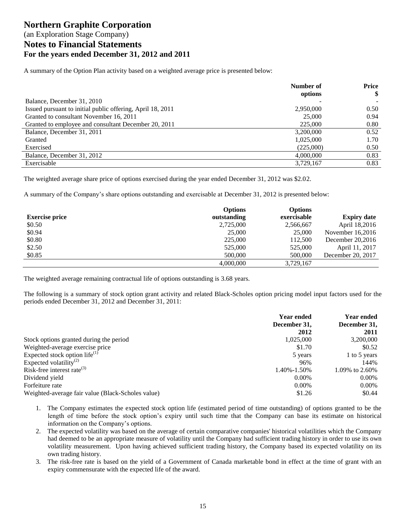A summary of the Option Plan activity based on a weighted average price is presented below:

|                                                            | Number of<br>options | Price<br>-S |
|------------------------------------------------------------|----------------------|-------------|
| Balance, December 31, 2010                                 |                      |             |
| Issued pursuant to initial public offering, April 18, 2011 | 2,950,000            | 0.50        |
| Granted to consultant November 16, 2011                    | 25,000               | 0.94        |
| Granted to employee and consultant December 20, 2011       | 225,000              | 0.80        |
| Balance, December 31, 2011                                 | 3,200,000            | 0.52        |
| Granted                                                    | 1,025,000            | 1.70        |
| Exercised                                                  | (225,000)            | 0.50        |
| Balance, December 31, 2012                                 | 4,000,000            | 0.83        |
| Exercisable                                                | 3.729.167            | 0.83        |

The weighted average share price of options exercised during the year ended December 31, 2012 was \$2.02.

A summary of the Company's share options outstanding and exercisable at December 31, 2012 is presented below:

|                       | <b>Options</b> | <b>Options</b> |                    |
|-----------------------|----------------|----------------|--------------------|
| <b>Exercise price</b> | outstanding    | exercisable    | <b>Expiry date</b> |
| \$0.50                | 2,725,000      | 2,566,667      | April 18,2016      |
| \$0.94                | 25,000         | 25,000         | November $16,2016$ |
| \$0.80                | 225,000        | 112,500        | December $20,2016$ |
| \$2.50                | 525,000        | 525,000        | April 11, 2017     |
| \$0.85                | 500,000        | 500,000        | December 20, 2017  |
|                       | 4,000,000      | 3,729,167      |                    |

The weighted average remaining contractual life of options outstanding is 3.68 years.

The following is a summary of stock option grant activity and related Black-Scholes option pricing model input factors used for the periods ended December 31, 2012 and December 31, 2011:

|                                                   | <b>Year ended</b> | Year ended     |
|---------------------------------------------------|-------------------|----------------|
|                                                   | December 31,      | December 31,   |
|                                                   | 2012              | 2011           |
| Stock options granted during the period           | 1.025.000         | 3,200,000      |
| Weighted-average exercise price                   | \$1.70            | \$0.52         |
| Expected stock option $life^{(1)}$                | 5 years           | 1 to 5 years   |
| Expected volatility <sup>(2)</sup>                | 96%               | 144%           |
| Risk-free interest rate <sup>(3)</sup>            | 1.40%-1.50%       | 1.09% to 2.60% |
| Dividend vield                                    | 0.00%             | $0.00\%$       |
| Forfeiture rate                                   | $0.00\%$          | $0.00\%$       |
| Weighted-average fair value (Black-Scholes value) | \$1.26            | \$0.44         |

- 1. The Company estimates the expected stock option life (estimated period of time outstanding) of options granted to be the length of time before the stock option's expiry until such time that the Company can base its estimate on historical information on the Company's options.
- 2. The expected volatility was based on the average of certain comparative companies' historical volatilities which the Company had deemed to be an appropriate measure of volatility until the Company had sufficient trading history in order to use its own volatility measurement. Upon having achieved sufficient trading history, the Company based its expected volatility on its own trading history.
- 3. The risk-free rate is based on the yield of a Government of Canada marketable bond in effect at the time of grant with an expiry commensurate with the expected life of the award.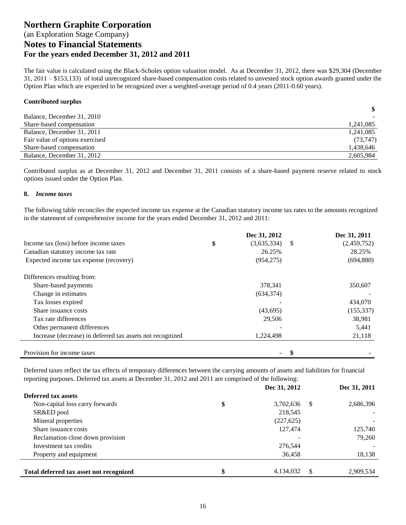The fair value is calculated using the Black-Scholes option valuation model. As at December 31, 2012, there was \$29,304 (December 31, 2011 – \$153,133) of total unrecognized share-based compensation costs related to unvested stock option awards granted under the Option Plan which are expected to be recognized over a weighted-average period of 0.4 years (2011-0.60 years).

### **Contributed surplus**

| Balance, December 31, 2010              |           |
|-----------------------------------------|-----------|
| Share-based compensation<br>1,241,085   |           |
| 1,241,085<br>Balance, December 31, 2011 |           |
| Fair value of options exercised         | (73, 747) |
| Share-based compensation<br>1,438,646   |           |
| 2,605,984<br>Balance, December 31, 2012 |           |

Contributed surplus as at December 31, 2012 and December 31, 2011 consists of a share-based payment reserve related to stock options issued under the Option Plan.

#### **8.** *Income taxes*

The following table reconciles the expected income tax expense at the Canadian statutory income tax rates to the amounts recognized in the statement of comprehensive income for the years ended December 31, 2012 and 2011:

|                                                           | Dec 31, 2012      |   | Dec 31, 2011 |
|-----------------------------------------------------------|-------------------|---|--------------|
| Income tax (loss) before income taxes                     | \$<br>(3,635,334) | S | (2,459,752)  |
| Canadian statutory income tax rate                        | 26.25%            |   | 28.25%       |
| Expected income tax expense (recovery)                    | (954,275)         |   | (694, 880)   |
| Differences resulting from:                               |                   |   |              |
| Share-based payments                                      | 378,341           |   | 350,607      |
| Change in estimates                                       | (634, 374)        |   |              |
| Tax losses expired                                        |                   |   | 434,070      |
| Share issuance costs                                      | (43,695)          |   | (155, 337)   |
| Tax rate differences                                      | 29,506            |   | 38,981       |
| Other permanent differences                               |                   |   | 5,441        |
| Increase (decrease) in deferred tax assets not recognized | 1,224,498         |   | 21,118       |
| Provision for income taxes                                |                   |   |              |

Deferred taxes reflect the tax effects of temporary differences between the carrying amounts of assets and liabilities for financial reporting purposes. Deferred tax assets at December 31, 2012 and 2011 are comprised of the following:

|                                         | Dec 31, 2012    |    | Dec 31, 2011 |
|-----------------------------------------|-----------------|----|--------------|
| Deferred tax assets                     |                 |    |              |
| Non-capital loss carry forwards         | \$<br>3,702,636 | -S | 2,686,396    |
| SR&ED pool                              | 218.545         |    |              |
| Mineral properties                      | (227, 625)      |    |              |
| Share issuance costs                    | 127,474         |    | 125,740      |
| Reclamation close down provision        |                 |    | 79,260       |
| Investment tax credits                  | 276.544         |    |              |
| Property and equipment                  | 36,458          |    | 18,138       |
| Total deferred tax asset not recognized | \$<br>4,134,032 |    | 2.909.534    |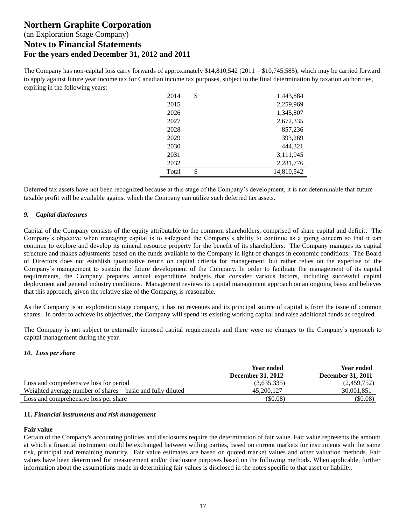The Company has non-capital loss carry forwards of approximately \$14,810,542 (2011 – \$10,745,585), which may be carried forward to apply against future year income tax for Canadian income tax purposes, subject to the final determination by taxation authorities, expiring in the following years:

| 2014  | \$<br>1,443,884  |
|-------|------------------|
| 2015  | 2,259,969        |
| 2026  | 1,345,807        |
| 2027  | 2,672,335        |
| 2028  | 857,236          |
| 2029  | 393,269          |
| 2030  | 444.321          |
| 2031  | 3,111,945        |
| 2032  | 2,281,776        |
| Total | \$<br>14,810,542 |

Deferred tax assets have not been recognized because at this stage of the Company's development, it is not determinable that future taxable profit will be available against which the Company can utilize such deferred tax assets.

### *9. Capital disclosures*

Capital of the Company consists of the equity attributable to the common shareholders, comprised of share capital and deficit. The Company's objective when managing capital is to safeguard the Company's ability to continue as a going concern so that it can continue to explore and develop its mineral resource property for the benefit of its shareholders. The Company manages its capital structure and makes adjustments based on the funds available to the Company in light of changes in economic conditions. The Board of Directors does not establish quantitative return on capital criteria for management, but rather relies on the expertise of the Company's management to sustain the future development of the Company. In order to facilitate the management of its capital requirements, the Company prepares annual expenditure budgets that consider various factors, including successful capital deployment and general industry conditions. Management reviews its capital management approach on an ongoing basis and believes that this approach, given the relative size of the Company, is reasonable.

As the Company is an exploration stage company, it has no revenues and its principal source of capital is from the issue of common shares. In order to achieve its objectives, the Company will spend its existing working capital and raise additional funds as required.

The Company is not subject to externally imposed capital requirements and there were no changes to the Company's approach to capital management during the year.

### *10. Loss per share*

|                                                             | Year ended               | Year ended               |
|-------------------------------------------------------------|--------------------------|--------------------------|
|                                                             | <b>December 31, 2012</b> | <b>December 31, 2011</b> |
| Loss and comprehensive loss for period                      | (3,635,335)              | (2,459,752)              |
| Weighted average number of shares – basic and fully diluted | 45,200,127               | 30,001,851               |
| Loss and comprehensive loss per share                       | (\$0.08)                 | $($ \$0.08)              |

### **11.** *Financial instruments and risk management*

### **Fair value**

Certain of the Company's accounting policies and disclosures require the determination of fair value. Fair value represents the amount at which a financial instrument could be exchanged between willing parties, based on current markets for instruments with the same risk, principal and remaining maturity. Fair value estimates are based on quoted market values and other valuation methods. Fair values have been determined for measurement and/or disclosure purposes based on the following methods. When applicable, further information about the assumptions made in determining fair values is disclosed in the notes specific to that asset or liability.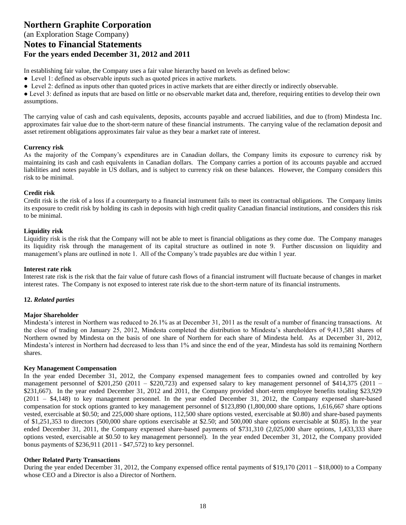In establishing fair value, the Company uses a fair value hierarchy based on levels as defined below:

- Level 1: defined as observable inputs such as quoted prices in active markets.
- Level 2: defined as inputs other than quoted prices in active markets that are either directly or indirectly observable.

● Level 3: defined as inputs that are based on little or no observable market data and, therefore, requiring entities to develop their own assumptions.

The carrying value of cash and cash equivalents, deposits, accounts payable and accrued liabilities, and due to (from) Mindesta Inc. approximates fair value due to the short-term nature of these financial instruments. The carrying value of the reclamation deposit and asset retirement obligations approximates fair value as they bear a market rate of interest.

### **Currency risk**

As the majority of the Company's expenditures are in Canadian dollars, the Company limits its exposure to currency risk by maintaining its cash and cash equivalents in Canadian dollars. The Company carries a portion of its accounts payable and accrued liabilities and notes payable in US dollars, and is subject to currency risk on these balances. However, the Company considers this risk to be minimal.

### **Credit risk**

Credit risk is the risk of a loss if a counterparty to a financial instrument fails to meet its contractual obligations. The Company limits its exposure to credit risk by holding its cash in deposits with high credit quality Canadian financial institutions, and considers this risk to be minimal.

### **Liquidity risk**

Liquidity risk is the risk that the Company will not be able to meet is financial obligations as they come due. The Company manages its liquidity risk through the management of its capital structure as outlined in note 9. Further discussion on liquidity and management's plans are outlined in note 1. All of the Company's trade payables are due within 1 year.

### **Interest rate risk**

Interest rate risk is the risk that the fair value of future cash flows of a financial instrument will fluctuate because of changes in market interest rates. The Company is not exposed to interest rate risk due to the short-term nature of its financial instruments.

### **12.** *Related parties*

### **Major Shareholder**

Mindesta's interest in Northern was reduced to 26.1% as at December 31, 2011 as the result of a number of financing transactions. At the close of trading on January 25, 2012, Mindesta completed the distribution to Mindesta's shareholders of 9,413,581 shares of Northern owned by Mindesta on the basis of one share of Northern for each share of Mindesta held. As at December 31, 2012, Mindesta's interest in Northern had decreased to less than 1% and since the end of the year, Mindesta has sold its remaining Northern shares.

### **Key Management Compensation**

In the year ended December 31, 2012, the Company expensed management fees to companies owned and controlled by key management personnel of  $$201,250$  (2011 –  $$220,723$ ) and expensed salary to key management personnel of  $$414,375$  (2011 – \$231,667). In the year ended December 31, 2012 and 2011, the Company provided short-term employee benefits totaling \$23,929 (2011 – \$4,148) to key management personnel. In the year ended December 31, 2012, the Company expensed share-based compensation for stock options granted to key management personnel of \$123,890 (1,800,000 share options, 1,616,667 share options vested, exercisable at \$0.50; and 225,000 share options, 112,500 share options vested, exercisable at \$0.80) and share-based payments of \$1,251,353 to directors (500,000 share options exercisable at \$2.50; and 500,000 share options exercisable at \$0.85). In the year ended December 31, 2011, the Company expensed share-based payments of \$731,310 (2,025,000 share options, 1,433,333 share options vested, exercisable at \$0.50 to key management personnel). In the year ended December 31, 2012, the Company provided bonus payments of \$236,911 (2011 - \$47,572) to key personnel.

### **Other Related Party Transactions**

During the year ended December 31, 2012, the Company expensed office rental payments of \$19,170 (2011 – \$18,000) to a Company whose CEO and a Director is also a Director of Northern.